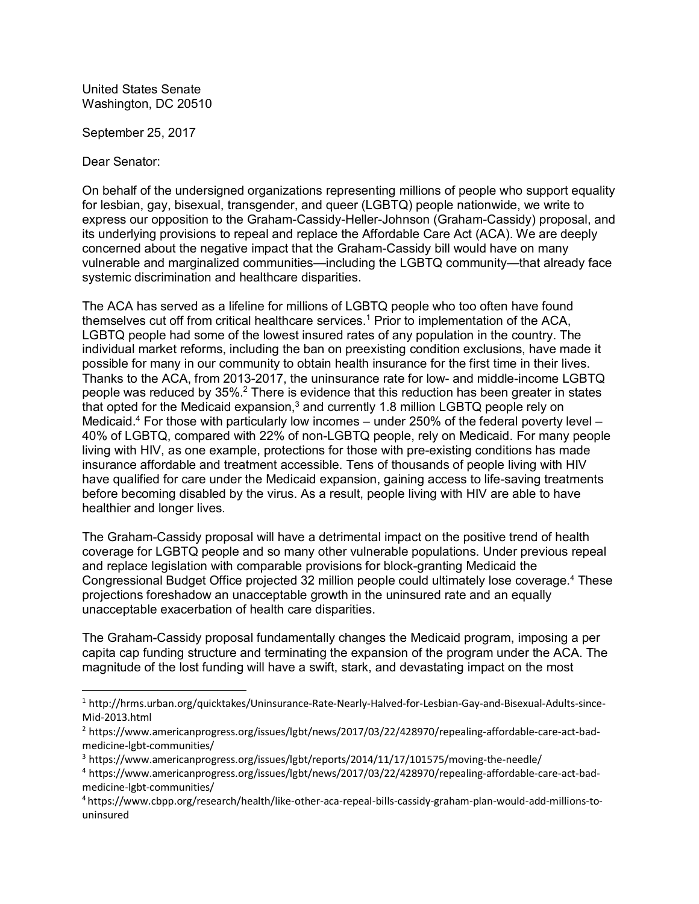United States Senate Washington, DC 20510

September 25, 2017

Dear Senator:

l

On behalf of the undersigned organizations representing millions of people who support equality<br>for lesbian, gay, bisexual, transgender, and queer (LGBTQ) people nationwide, we write to<br>express our opposition to the Graham for lesbian, gay, bisexual, transgender, and queer (LGBTQ) people nationwide, we write to for lesbian, gay, bisexual, transgender, and queer (LGBTQ) people nationwide, we write to<br>express our opposition to the Graham-Cassidy-Heller-Johnson (Graham-Cassidy) proposal, and<br>its underlying provisions to repeal and r express our opposition to the Graham-Cassidy-Heller-Johnson (Graham-Cassidy) proposa<br>its underlying provisions to repeal and replace the Affordable Care Act (ACA). We are deep<br>concerned about the negative impact that the G its underlying provisions to repeal and replace the Affordable Care Act (ACA). We are deeply concerned about the negative impact that the Graham-Cassidy bill would have on many vulnerable and marginalized communities—inclu concerned about the negative impact that the Graham-Cassidy bill would have on many

The ACA has served as a lifeline for millions of LGBTQ people who too often have found themselves cut off from critical healthcare services.<sup>1</sup> Prior to implementation of the ACA, The ACA has served as a lifeline for millions of LGBTQ people who too often have found<br>themselves cut off from critical healthcare services.<sup>1</sup> Prior to implementation of the ACA,<br>LGBTQ people had some of the lowest insure individual market reforms, including the ban on preexisting condition exclusions, have made it LGBTQ people had some of the lowest insured rates of any population in the country. The individual market reforms, including the ban on preexisting condition exclusions, have made possible for many in our community to obta Thanks to the ACA, from 2013-2017, the uninsurance rate for low- and middle-income LGBTQ possible for many in our community to obtain health insurance for the first time in their lives.<br>Thanks to the ACA, from 2013-2017, the uninsurance rate for low- and middle-income LGBTQ<br>people was reduced by 35%.<sup>2</sup> There that opted for the Medicaid expansion, $3$  and currently 1.8 million LGBTQ people rely on people was reduced by 35%.<sup>2</sup> There is evidence that this reduction has been greater in states<br>that opted for the Medicaid expansion,<sup>3</sup> and currently 1.8 million LGBTQ people rely on<br>Medicaid.<sup>4</sup> For those with particular 40% of LGBTQ, compared with 22% of non-LGBTQ people, rely on Medicaid. For many people living with HIV, as one example, protections for those with pre-existing conditions has made Medicaid.<sup>4</sup> For those with particularly low incomes – under 250% of the federal poverty level – 40% of LGBTQ, compared with 22% of non-LGBTQ people, rely on Medicaid. For many peop<br>living with HIV, as one example, protections for those with pre-existing conditions has made<br>insurance affordable and treatment accessibl living with HIV, as one example, protections for those with pre-existing conditions has made<br>insurance affordable and treatment accessible. Tens of thousands of people living with HIV<br>have qualified for care under the Medi insurance affordable and treatment accessible. Tens of thousands of people living with HIV<br>have qualified for care under the Medicaid expansion, gaining access to life-saving treatments<br>before becoming disabled by the viru healthier and longer lives.

The Graham-Cassidy proposal will have a detrimental impact on the positive trend of health coverage for LGBTQ people and so many other vulnerable populations. Under previous repeal and replace legislation with comparable provisions for block-granting Medicaid the Congressional Budget Office projected 32 million people could ultimately lose coverage.<sup>4</sup> These unacceptable exacerbation of health care disparities. projections foreshadow an unacceptable growth in the uninsured rate and an equally

unacceptable exacerbation of health care disparities.<br>The Graham-Cassidy proposal fundamentally changes the Medicaid program, imposing a per capita cap funding structure and terminating the expansion of the program under the ACA. The The Graham-Cassidy proposal fundamentally changes the Medicaid program, imposing a p<br>capita cap funding structure and terminating the expansion of the program under the ACA.<br>magnitude of the lost funding will have a swift,

<sup>1</sup> http://hrms.urban.org/quicktakes/Uninsurance-Rate-Nearly-Halved-for-Lesbian-Gay-and-Bisexual-Adults-since-Mid-2013.html

<sup>2</sup> https://www.americanprogress.org/issues/lgbt/news/2017/03/22/428970/repealing-affordable-care-act-badmedicine-lgbt-communities/

<sup>3</sup> https://www.americanprogress.org/issues/lgbt/reports/2014/11/17/101575/moving-the-needle/

<sup>4</sup> https://www.americanprogress.org/issues/lgbt/news/2017/03/22/428970/repealing-affordable-care-act-badmedicine-lgbt-communities/

<sup>4</sup> https://www.cbpp.org/research/health/like-other-aca-repeal-bills-cassidy-graham-plan-would-add-millions-touninsured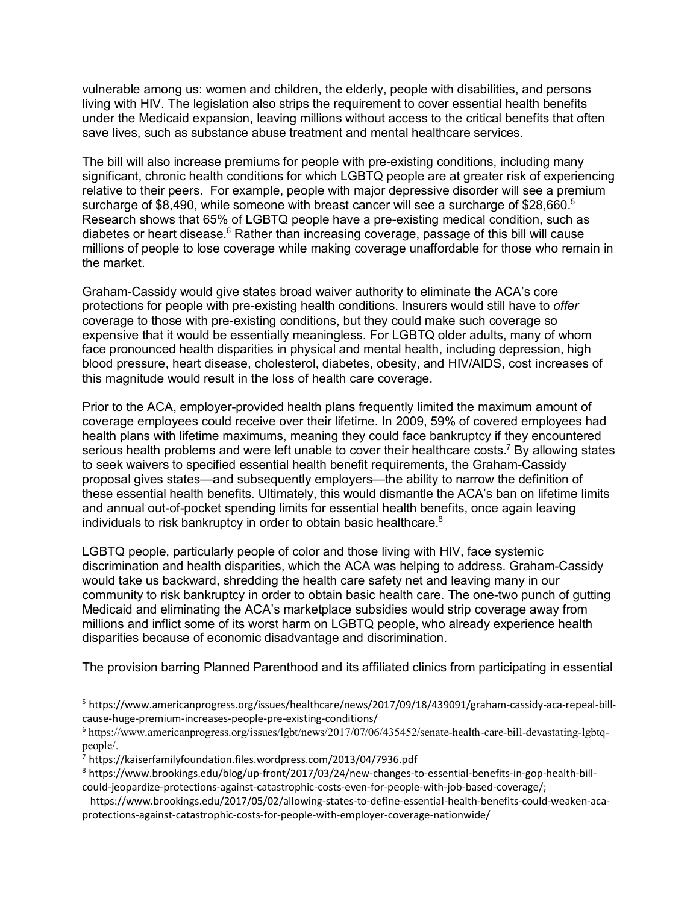vulnerable among us: women and children, the elderly, people with disabilities, and persons vulnerable among us: women and children, the elderly, people with disabilities, and persons<br>living with HIV. The legislation also strips the requirement to cover essential health benefits<br>under the Mediesid expension, leav vulnerable among us: women and children, the elderly, people with disabilities, and persons<br>living with HIV. The legislation also strips the requirement to cover essential health benefits<br>under the Medicaid expansion, leav living with HIV. The legislation also strips the requirement to cover essential health<br>under the Medicaid expansion, leaving millions without access to the critical benefi<br>save lives, such as substance abuse treatment and

The bill will also increase premiums for people with pre-existing conditions, including many significant, chronic health conditions for which LGBTQ people are at greater risk of experiencing relative to their peers. For example, people with major depressive disorder will see a premium surcharge of \$8,490, while someone with breast cancer will see a surcharge of \$28,660.<sup>5</sup> Research shows that 65% of LGBTQ people have a pre-existing medical condition, such as diabetes or heart disease. $^6$  Rather than increasing coverage, passage of this bill will cause Research shows that 65% of LGBTQ people have a pre-existing medical condition, such as<br>diabetes or heart disease.<sup>6</sup> Rather than increasing coverage, passage of this bill will cause<br>millions of people to lose coverage whil the market.

Graham-Cassidy would give states broad waiver authority to eliminate the ACA's core protections for people with pre-existing health conditions. Insurers would still have to *offer* coverage to those with pre-existing conditions, but they could make such coverage so expensive that it would be essentially meaningless. For LGBTQ older adults, many of whom face pronounced health disparities in physical and mental health, including depression, high expensive that it would be essentially meaningless. For LGBTQ older adults, many of whom<br>face pronounced health disparities in physical and mental health, including depression, high<br>blood pressure, heart disease, cholester this magnitude would result in the loss of health care coverage.

Prior to the ACA, employer-provided health plans frequently limited the maximum amount of coverage employees could receive over their lifetime. In 2009, 59% of covered employees had health plans with lifetime maximums, meaning they could face bankruptcy if they encountered serious health problems and were left unable to cover their healthcare costs.<sup>7</sup> By allowing states to seek waivers to specified essential health benefit requirements, the Graham-Cassidy proposal gives states—and subsequently employers—the ability to narrow the definition of to seek waivers to specified essential health benefit requirements, the Graham-Cassidy<br>proposal gives states—and subsequently employers—the ability to narrow the definition of<br>these essential health benefits. Ultimately, t proposal gives states—and subsequently employers—the ability to narrow the definition of<br>these essential health benefits. Ultimately, this would dismantle the ACA's ban on lifetime lir<br>and annual out-of-pocket spending lim individuals to risk bankruptcy in order to obtain basic healthcare.<sup>8</sup>

LGBTQ people, particularly people of color and those living with HIV, face systemic discrimination and health disparities, which the ACA was helping to address. Graham-Cassidy would take us backward, shredding the health care safety net and leaving many in our community to risk bankruptcy in order to obtain basic health care. The one-two punch of gutting Medicaid and eliminating the ACA's marketplace subsidies would strip coverage away from community to risk bankruptcy in order to obtain basic health care. The one-two punch of gutting<br>Medicaid and eliminating the ACA's marketplace subsidies would strip coverage away from<br>millions and inflict some of its worst disparities because of economic disadvantage and discrimination.

The provision barring Planned Parenthood and its affiliated clinics from participating in essential

l

<sup>5</sup> https://www.americanprogress.org/issues/healthcare/news/2017/09/18/439091/graham-cassidy-aca-repeal-billcause-huge-premium-increases-people-pre-existing-conditions/

<sup>6</sup> https://www.americanprogress.org/issues/lgbt/news/2017/07/06/435452/senate-health-care-bill-devastating-lgbtqpeople/.

<sup>7</sup> https://kaiserfamilyfoundation.files.wordpress.com/2013/04/7936.pdf

<sup>8</sup> https://www.brookings.edu/blog/up-front/2017/03/24/new-changes-to-essential-benefits-in-gop-health-billcould-jeopardize-protections-against-catastrophic-costs-even-for-people-with-job-based-coverage/;

https://www.brookings.edu/2017/05/02/allowing-states-to-define-essential-health-benefits-could-weaken-acaprotections-against-catastrophic-costs-for-people-with-employer-coverage-nationwide/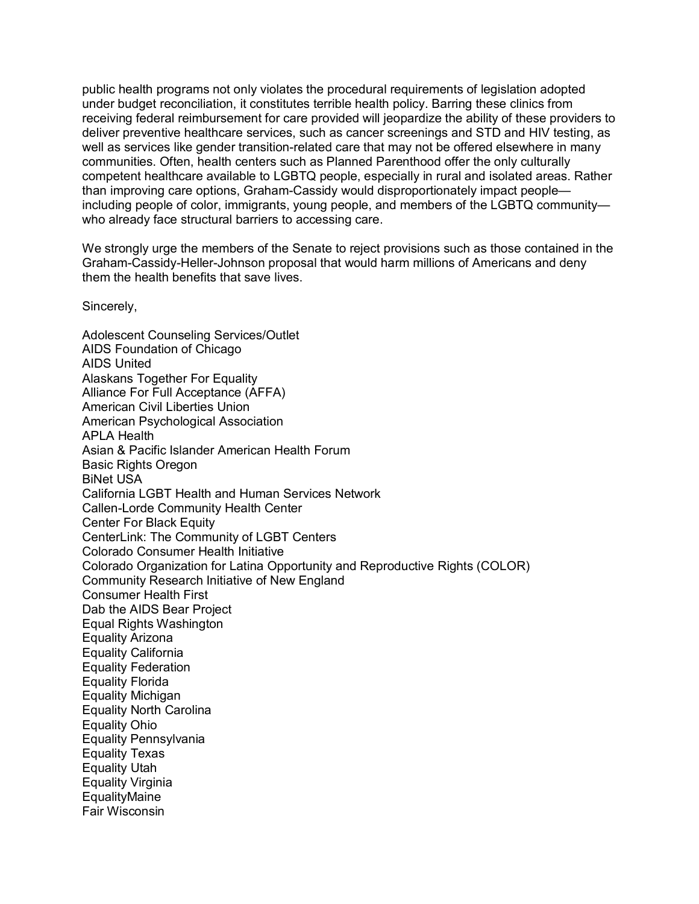public health programs not only violates the procedural requirements of legislation adopted under budget reconciliation, it constitutes terrible health policy. Barring these clinics from receiving federal reimbursement for care provided will jeopardize the ability of these providers to under budget reconciliation, it constitutes terrible health policy. Barring these clinics from<br>receiving federal reimbursement for care provided will jeopardize the ability of these providers to<br>deliver preventive healthca receiving federal reimbursement for care provided will jeopardize the ability of these providers to<br>deliver preventive healthcare services, such as cancer screenings and STD and HIV testing, as<br>well as services like gender deliver preventive healthcare services, such as cancer screenings and STD and HIV testing<br>well as services like gender transition-related care that may not be offered elsewhere in mar<br>communities. Often, health centers suc well as services like gender transition-related care that may not be offered elsewhere in many<br>communities. Often, health centers such as Planned Parenthood offer the only culturally<br>competent healthcare available to LGBTQ communities. Often, health centers such as Planned Parenthood offer the only culturally<br>competent healthcare available to LGBTQ people, especially in rural and isolated areas. Rather<br>than improving care options, Graham-Cas competent healthcare available to LGBTQ people, especially in rural and isolated areas. Rather<br>than improving care options, Graham-Cassidy would disproportionately impact people—<br>including people of color, immigrants, youn who already face structural barriers to accessing care.

We strongly urge the members of the Senate to reject provisions such as those contained in the them the health benefits that save lives. Graham-Cassidy-Heller-Johnson proposal that would harm millions of Americans and deny

Sincerely,

Adolescent Counseling Services/Outlet AIDS Foundation of Chicago AIDS United Alaskans Together For Equality Alliance For Full Acceptance (AFFA) American Civil Liberties Union American Psychological Association APLA Health Asian & Pacific Islander American Health Forum Basic Rights Oregon BiNet USA California LGBT Health and Human Services Network Callen-Lorde Community Health Center Center For Black Equity CenterLink: The Community of LGBT Centers Colorado Consumer Health Initiative Colorado Organization for Latina Opportunity and Reproductive Rights (COLOR) Community Research Initiative of New England Consumer Health First Dab the AIDS Bear Project Equal Rights Washington Equality Arizona Equality California Equality Federation Equality Florida Equality Michigan Equality North Carolina Equality Ohio Equality Pennsylvania Equality Texas Equality Utah Equality Virginia **EqualityMaine** Fair Wisconsin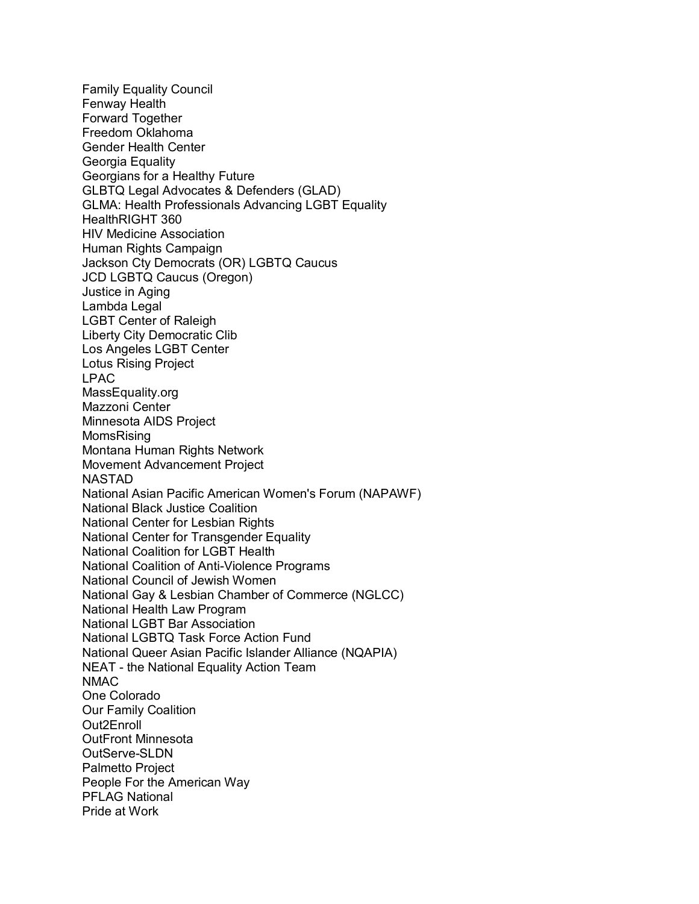Family Equality Council Fenway Health Forward Together Freedom Oklahoma Gender Health Center Georgia Equality Georgians for a Healthy Future GLBTQ Legal Advocates & Defenders (GLAD) GLMA: Health Professionals Advancing LGBT Equality HealthRIGHT 360 HIV Medicine Association Human Rights Campaign Jackson Cty Democrats (OR) LGBTQ Caucus JCD LGBTQ Caucus (Oregon) Justice in Aging Lambda Legal LGBT Center of Raleigh Liberty City Democratic Clib Los Angeles LGBT Center Lotus Rising Project LPAC MassEquality.org Mazzoni Center Minnesota AIDS Project MomsRising Montana Human Rights Network Movement Advancement Project NASTAD National Asian Pacific American Women's Forum (NAPAWF) National Black Justice Coalition National Center for Lesbian Rights National Center for Transgender Equality National Coalition for LGBT Health National Coalition of Anti-Violence Programs National Council of Jewish Women National Gay & Lesbian Chamber of Commerce (NGLCC) National Health Law Program National LGBT Bar Association National LGBTQ Task Force Action Fund National Queer Asian Pacific Islander Alliance (NQAPIA) National LGBTQ Task Force Action Fund<br>National Queer Asian Pacific Islander Alliance (M<br>NEAT - the National Equality Action Team<br>NMAC NMAC One Colorado Our Family Coalition Out2Enroll OutFront Minnesota OutServe-SLDN Palmetto Project People For the American Way PFLAG National Pride at Work